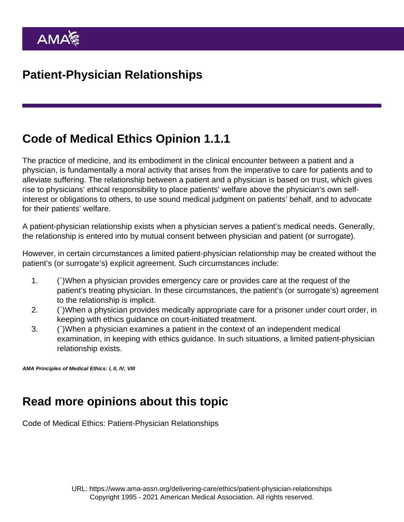## Code of Medical Ethics Opinion 1.1.1

The practice of medicine, and its embodiment in the clinical encounter between a patient and a physician, is fundamentally a moral activity that arises from the imperative to care for patients and to alleviate suffering. The relationship between a patient and a physician is based on trust, which gives rise to physicians' ethical responsibility to place patients' welfare above the physician's own selfinterest or obligations to others, to use sound medical judgment on patients' behalf, and to advocate for their patients' welfare.

A patient-physician relationship exists when a physician serves a patient's medical needs. Generally, the relationship is entered into by mutual consent between physician and patient (or surrogate).

However, in certain circumstances a limited patient-physician relationship may be created without the patient's (or surrogate's) explicit agreement. Such circumstances include:

- 1. (`)When a physician provides emergency care or provides care at the request of the patient's treating physician. In these circumstances, the patient's (or surrogate's) agreement to the relationship is implicit.
- 2. (`)When a physician provides medically appropriate care for a prisoner under court order, in keeping with ethics guidance on court-initiated treatment.
- 3. (`)When a physician examines a patient in the context of an independent medical examination, in keeping with ethics guidance. In such situations, a limited patient-physician relationship exists.

AMA Principles of Medical Ethics: I, II, IV, VIII

## Read more opinions about this topic

[Code of Medical Ethics: Patient-Physician Relationships](https://www.ama-assn.org/delivering-care/ethics/code-medical-ethics-patient-physician-relationships)